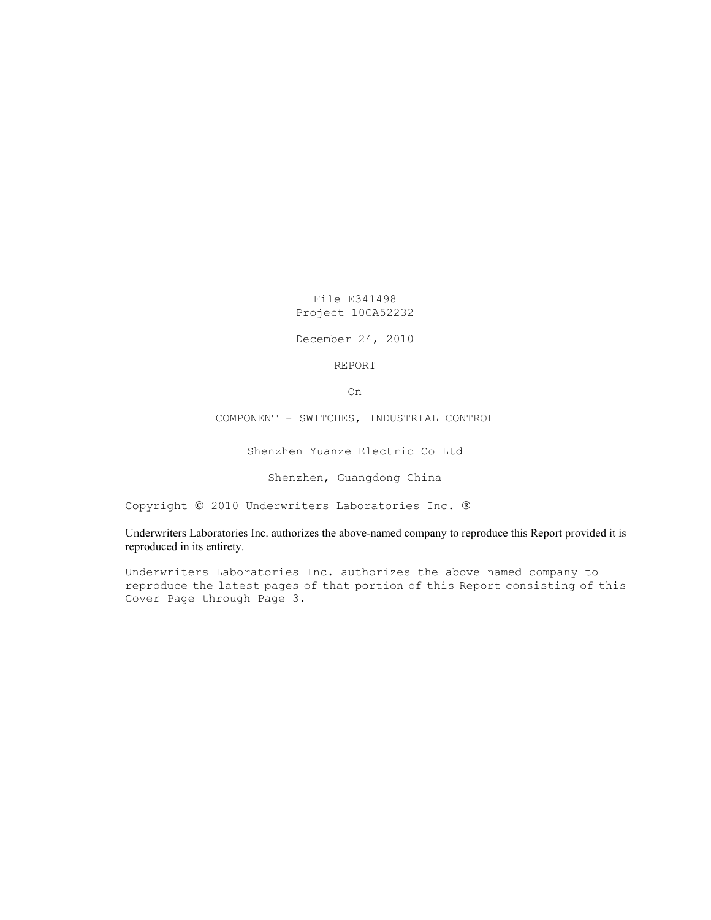File E341498 Project 10CA52232

December 24, 2010

REPORT

On

COMPONENT - SWITCHES, INDUSTRIAL CONTROL

Shenzhen Yuanze Electric Co Ltd

Shenzhen, Guangdong China

Copyright © 2010 Underwriters Laboratories Inc. ®

Underwriters Laboratories Inc. authorizes the above-named company to reproduce this Report provided it is reproduced in its entirety.

Underwriters Laboratories Inc. authorizes the above named company to reproduce the latest pages of that portion of this Report consisting of this Cover Page through Page 3.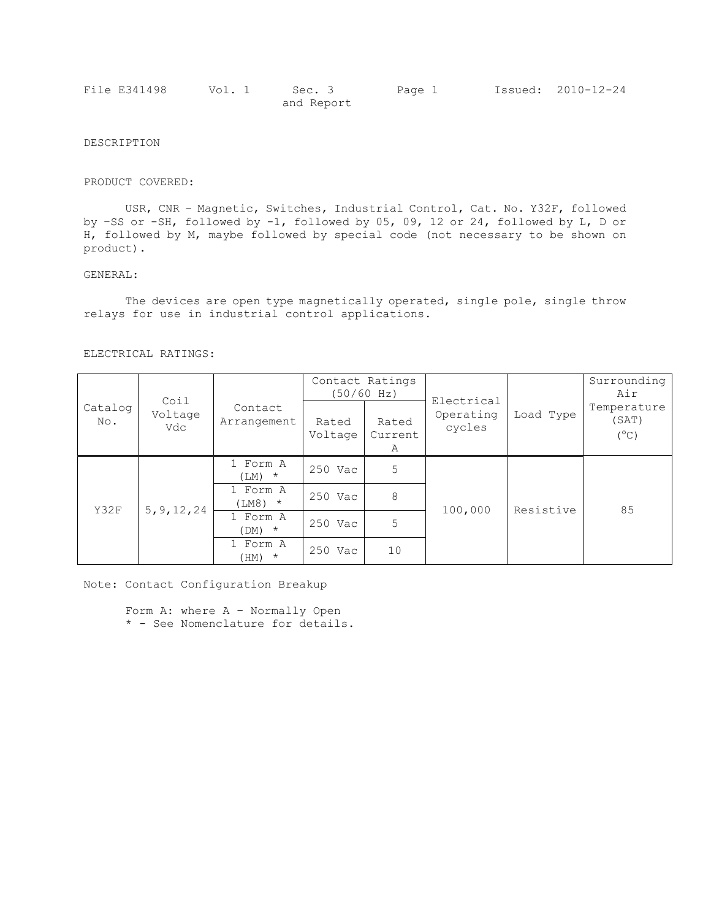| File E341498 | Vol. 1 | Sec. 3     | Page 1 | Issued: 2010-12-24 |
|--------------|--------|------------|--------|--------------------|
|              |        | and Report |        |                    |

## DESCRIPTION

#### PRODUCT COVERED:

USR, CNR – Magnetic, Switches, Industrial Control, Cat. No. Y32F, followed by –SS or -SH, followed by -1, followed by 05, 09, 12 or 24, followed by L, D or H, followed by M, maybe followed by special code (not necessary to be shown on product).

### GENERAL:

The devices are open type magnetically operated, single pole, single throw relays for use in industrial control applications.

#### ELECTRICAL RATINGS:

|  | Catalog<br>No. | Coil<br>Voltage<br>Vdc | Contact<br>Arrangement | Contact Ratings<br>(50/60 Hz) |                       |                                   |           | Surrounding<br>Air                    |
|--|----------------|------------------------|------------------------|-------------------------------|-----------------------|-----------------------------------|-----------|---------------------------------------|
|  |                |                        |                        | Rated<br>Voltage              | Rated<br>Current<br>Α | Electrical<br>Operating<br>cycles | Load Type | Temperature<br>(SAT)<br>$(^{\circ}C)$ |
|  |                | 5, 9, 12, 24           | 1 Form A<br>$(LM)$ *   | 250 Vac                       | 5                     |                                   | Resistive | 85                                    |
|  | Y32F           |                        | 1 Form A<br>$(LM8)$ *  | 250 Vac                       | 8                     |                                   |           |                                       |
|  |                |                        | 1 Form A<br>$(DM)$ *   | 250 Vac                       | 5                     | 100,000                           |           |                                       |
|  |                |                        | 1 Form A<br>$(HM)$ *   | 250 Vac                       | 10                    |                                   |           |                                       |

Note: Contact Configuration Breakup

Form A: where A – Normally Open \* - See Nomenclature for details.